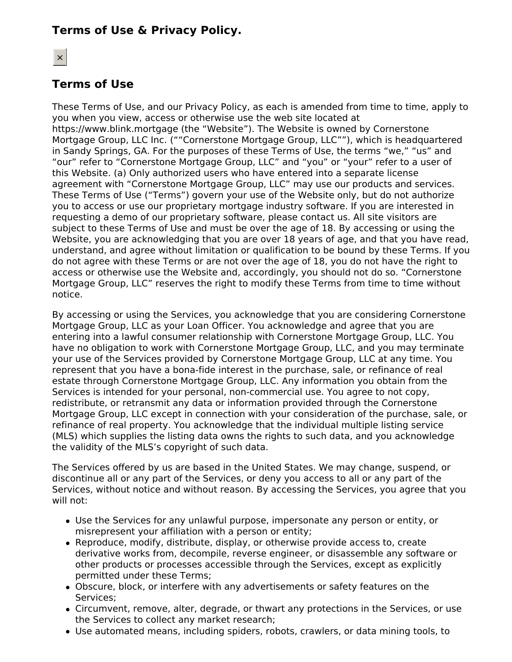# **Terms of Use & Privacy Policy.**

# $\vert x \vert$

# **Terms of Use**

These Terms of Use, and our Privacy Policy, as each is amended from time to time, apply to you when you view, access or otherwise use the web site located at https://www.blink.mortgage (the "Website"). The Website is owned by Cornerstone Mortgage Group, LLC Inc. (""Cornerstone Mortgage Group, LLC""), which is headquartered in Sandy Springs, GA. For the purposes of these Terms of Use, the terms "we," "us" and "our" refer to "Cornerstone Mortgage Group, LLC" and "you" or "your" refer to a user of this Website. (a) Only authorized users who have entered into a separate license agreement with "Cornerstone Mortgage Group, LLC" may use our products and services. These Terms of Use ("Terms") govern your use of the Website only, but do not authorize you to access or use our proprietary mortgage industry software. If you are interested in requesting a demo of our proprietary software, please contact us. All site visitors are subject to these Terms of Use and must be over the age of 18. By accessing or using the Website, you are acknowledging that you are over 18 years of age, and that you have read, understand, and agree without limitation or qualification to be bound by these Terms. If you do not agree with these Terms or are not over the age of 18, you do not have the right to access or otherwise use the Website and, accordingly, you should not do so. "Cornerstone Mortgage Group, LLC" reserves the right to modify these Terms from time to time without notice.

By accessing or using the Services, you acknowledge that you are considering Cornerstone Mortgage Group, LLC as your Loan Officer. You acknowledge and agree that you are entering into a lawful consumer relationship with Cornerstone Mortgage Group, LLC. You have no obligation to work with Cornerstone Mortgage Group, LLC, and you may terminate your use of the Services provided by Cornerstone Mortgage Group, LLC at any time. You represent that you have a bona-fide interest in the purchase, sale, or refinance of real estate through Cornerstone Mortgage Group, LLC. Any information you obtain from the Services is intended for your personal, non-commercial use. You agree to not copy, redistribute, or retransmit any data or information provided through the Cornerstone Mortgage Group, LLC except in connection with your consideration of the purchase, sale, or refinance of real property. You acknowledge that the individual multiple listing service (MLS) which supplies the listing data owns the rights to such data, and you acknowledge the validity of the MLS's copyright of such data.

The Services offered by us are based in the United States. We may change, suspend, or discontinue all or any part of the Services, or deny you access to all or any part of the Services, without notice and without reason. By accessing the Services, you agree that you will not:

- Use the Services for any unlawful purpose, impersonate any person or entity, or misrepresent your affiliation with a person or entity;
- Reproduce, modify, distribute, display, or otherwise provide access to, create derivative works from, decompile, reverse engineer, or disassemble any software or other products or processes accessible through the Services, except as explicitly permitted under these Terms;
- Obscure, block, or interfere with any advertisements or safety features on the Services;
- Circumvent, remove, alter, degrade, or thwart any protections in the Services, or use the Services to collect any market research;
- Use automated means, including spiders, robots, crawlers, or data mining tools, to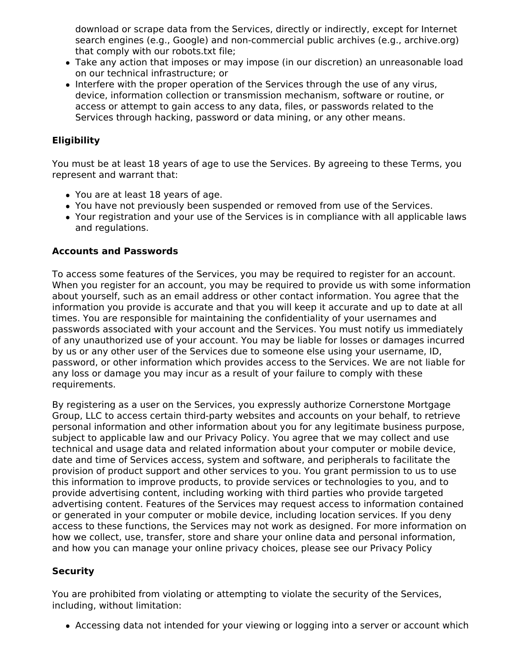download or scrape data from the Services, directly or indirectly, except for Internet search engines (e.g., Google) and non-commercial public archives (e.g., archive.org) that comply with our robots.txt file;

- Take any action that imposes or may impose (in our discretion) an unreasonable load on our technical infrastructure; or
- Interfere with the proper operation of the Services through the use of any virus, device, information collection or transmission mechanism, software or routine, or access or attempt to gain access to any data, files, or passwords related to the Services through hacking, password or data mining, or any other means.

# **Eligibility**

You must be at least 18 years of age to use the Services. By agreeing to these Terms, you represent and warrant that:

- You are at least 18 years of age.
- You have not previously been suspended or removed from use of the Services.
- Your registration and your use of the Services is in compliance with all applicable laws and regulations.

### **Accounts and Passwords**

To access some features of the Services, you may be required to register for an account. When you register for an account, you may be required to provide us with some information about yourself, such as an email address or other contact information. You agree that the information you provide is accurate and that you will keep it accurate and up to date at all times. You are responsible for maintaining the confidentiality of your usernames and passwords associated with your account and the Services. You must notify us immediately of any unauthorized use of your account. You may be liable for losses or damages incurred by us or any other user of the Services due to someone else using your username, ID, password, or other information which provides access to the Services. We are not liable for any loss or damage you may incur as a result of your failure to comply with these requirements.

By registering as a user on the Services, you expressly authorize Cornerstone Mortgage Group, LLC to access certain third-party websites and accounts on your behalf, to retrieve personal information and other information about you for any legitimate business purpose, subject to applicable law and our Privacy Policy. You agree that we may collect and use technical and usage data and related information about your computer or mobile device, date and time of Services access, system and software, and peripherals to facilitate the provision of product support and other services to you. You grant permission to us to use this information to improve products, to provide services or technologies to you, and to provide advertising content, including working with third parties who provide targeted advertising content. Features of the Services may request access to information contained or generated in your computer or mobile device, including location services. If you deny access to these functions, the Services may not work as designed. For more information on how we collect, use, transfer, store and share your online data and personal information, and how you can manage your online privacy choices, please see our Privacy Policy

# **Security**

You are prohibited from violating or attempting to violate the security of the Services, including, without limitation:

Accessing data not intended for your viewing or logging into a server or account which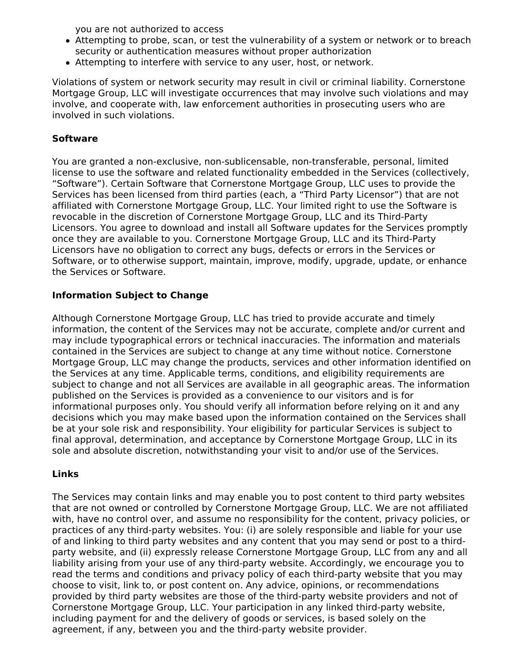you are not authorized to access

- Attempting to probe, scan, or test the vulnerability of a system or network or to breach security or authentication measures without proper authorization
- Attempting to interfere with service to any user, host, or network.

Violations of system or network security may result in civil or criminal liability. Cornerstone Mortgage Group, LLC will investigate occurrences that may involve such violations and may involve, and cooperate with, law enforcement authorities in prosecuting users who are involved in such violations.

# **Software**

You are granted a non-exclusive, non-sublicensable, non-transferable, personal, limited license to use the software and related functionality embedded in the Services (collectively, "Software"). Certain Software that Cornerstone Mortgage Group, LLC uses to provide the Services has been licensed from third parties (each, a "Third Party Licensor") that are not affiliated with Cornerstone Mortgage Group, LLC. Your limited right to use the Software is revocable in the discretion of Cornerstone Mortgage Group, LLC and its Third-Party Licensors. You agree to download and install all Software updates for the Services promptly once they are available to you. Cornerstone Mortgage Group, LLC and its Third-Party Licensors have no obligation to correct any bugs, defects or errors in the Services or Software, or to otherwise support, maintain, improve, modify, upgrade, update, or enhance the Services or Software.

# **Information Subject to Change**

Although Cornerstone Mortgage Group, LLC has tried to provide accurate and timely information, the content of the Services may not be accurate, complete and/or current and may include typographical errors or technical inaccuracies. The information and materials contained in the Services are subject to change at any time without notice. Cornerstone Mortgage Group, LLC may change the products, services and other information identified on the Services at any time. Applicable terms, conditions, and eligibility requirements are subject to change and not all Services are available in all geographic areas. The information published on the Services is provided as a convenience to our visitors and is for informational purposes only. You should verify all information before relying on it and any decisions which you may make based upon the information contained on the Services shall be at your sole risk and responsibility. Your eligibility for particular Services is subject to final approval, determination, and acceptance by Cornerstone Mortgage Group, LLC in its sole and absolute discretion, notwithstanding your visit to and/or use of the Services.

# **Links**

The Services may contain links and may enable you to post content to third party websites that are not owned or controlled by Cornerstone Mortgage Group, LLC. We are not affiliated with, have no control over, and assume no responsibility for the content, privacy policies, or practices of any third-party websites. You: (i) are solely responsible and liable for your use of and linking to third party websites and any content that you may send or post to a thirdparty website, and (ii) expressly release Cornerstone Mortgage Group, LLC from any and all liability arising from your use of any third-party website. Accordingly, we encourage you to read the terms and conditions and privacy policy of each third-party website that you may choose to visit, link to, or post content on. Any advice, opinions, or recommendations provided by third party websites are those of the third-party website providers and not of Cornerstone Mortgage Group, LLC. Your participation in any linked third-party website, including payment for and the delivery of goods or services, is based solely on the agreement, if any, between you and the third-party website provider.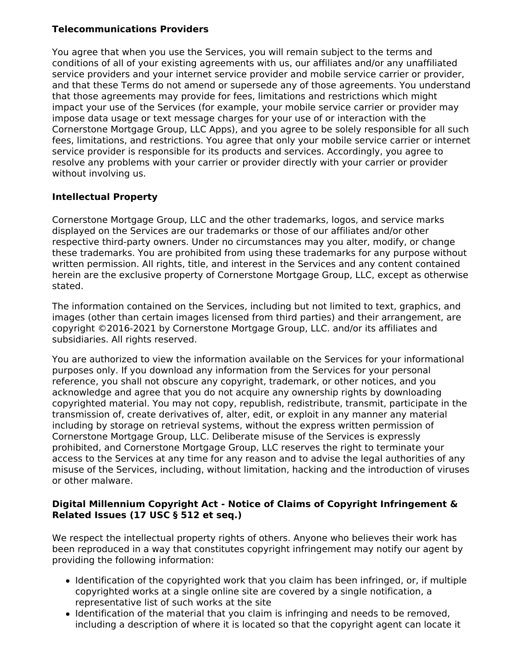# **Telecommunications Providers**

You agree that when you use the Services, you will remain subject to the terms and conditions of all of your existing agreements with us, our affiliates and/or any unaffiliated service providers and your internet service provider and mobile service carrier or provider, and that these Terms do not amend or supersede any of those agreements. You understand that those agreements may provide for fees, limitations and restrictions which might impact your use of the Services (for example, your mobile service carrier or provider may impose data usage or text message charges for your use of or interaction with the Cornerstone Mortgage Group, LLC Apps), and you agree to be solely responsible for all such fees, limitations, and restrictions. You agree that only your mobile service carrier or internet service provider is responsible for its products and services. Accordingly, you agree to resolve any problems with your carrier or provider directly with your carrier or provider without involving us.

# **Intellectual Property**

Cornerstone Mortgage Group, LLC and the other trademarks, logos, and service marks displayed on the Services are our trademarks or those of our affiliates and/or other respective third-party owners. Under no circumstances may you alter, modify, or change these trademarks. You are prohibited from using these trademarks for any purpose without written permission. All rights, title, and interest in the Services and any content contained herein are the exclusive property of Cornerstone Mortgage Group, LLC, except as otherwise stated.

The information contained on the Services, including but not limited to text, graphics, and images (other than certain images licensed from third parties) and their arrangement, are copyright ©2016-2021 by Cornerstone Mortgage Group, LLC. and/or its affiliates and subsidiaries. All rights reserved.

You are authorized to view the information available on the Services for your informational purposes only. If you download any information from the Services for your personal reference, you shall not obscure any copyright, trademark, or other notices, and you acknowledge and agree that you do not acquire any ownership rights by downloading copyrighted material. You may not copy, republish, redistribute, transmit, participate in the transmission of, create derivatives of, alter, edit, or exploit in any manner any material including by storage on retrieval systems, without the express written permission of Cornerstone Mortgage Group, LLC. Deliberate misuse of the Services is expressly prohibited, and Cornerstone Mortgage Group, LLC reserves the right to terminate your access to the Services at any time for any reason and to advise the legal authorities of any misuse of the Services, including, without limitation, hacking and the introduction of viruses or other malware.

# **Digital Millennium Copyright Act - Notice of Claims of Copyright Infringement & Related Issues (17 USC § 512 et seq.)**

We respect the intellectual property rights of others. Anyone who believes their work has been reproduced in a way that constitutes copyright infringement may notify our agent by providing the following information:

- Identification of the copyrighted work that you claim has been infringed, or, if multiple copyrighted works at a single online site are covered by a single notification, a representative list of such works at the site
- Identification of the material that you claim is infringing and needs to be removed, including a description of where it is located so that the copyright agent can locate it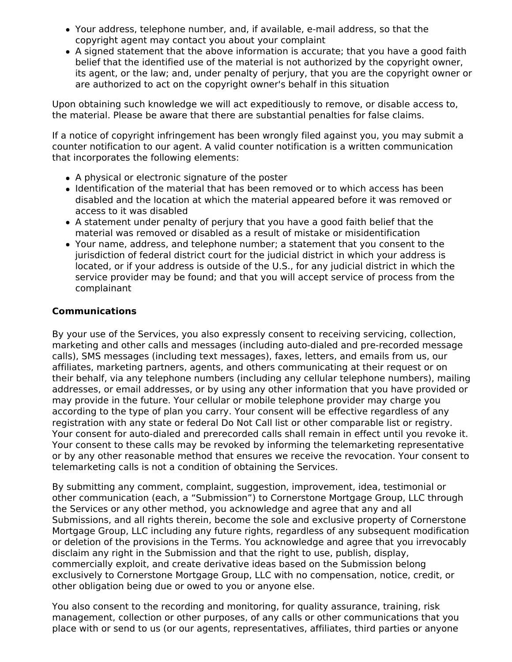- Your address, telephone number, and, if available, e-mail address, so that the copyright agent may contact you about your complaint
- A signed statement that the above information is accurate; that you have a good faith belief that the identified use of the material is not authorized by the copyright owner, its agent, or the law; and, under penalty of perjury, that you are the copyright owner or are authorized to act on the copyright owner's behalf in this situation

Upon obtaining such knowledge we will act expeditiously to remove, or disable access to, the material. Please be aware that there are substantial penalties for false claims.

If a notice of copyright infringement has been wrongly filed against you, you may submit a counter notification to our agent. A valid counter notification is a written communication that incorporates the following elements:

- A physical or electronic signature of the poster
- Identification of the material that has been removed or to which access has been disabled and the location at which the material appeared before it was removed or access to it was disabled
- A statement under penalty of perjury that you have a good faith belief that the material was removed or disabled as a result of mistake or misidentification
- Your name, address, and telephone number; a statement that you consent to the jurisdiction of federal district court for the judicial district in which your address is located, or if your address is outside of the U.S., for any judicial district in which the service provider may be found; and that you will accept service of process from the complainant

### **Communications**

By your use of the Services, you also expressly consent to receiving servicing, collection, marketing and other calls and messages (including auto-dialed and pre-recorded message calls), SMS messages (including text messages), faxes, letters, and emails from us, our affiliates, marketing partners, agents, and others communicating at their request or on their behalf, via any telephone numbers (including any cellular telephone numbers), mailing addresses, or email addresses, or by using any other information that you have provided or may provide in the future. Your cellular or mobile telephone provider may charge you according to the type of plan you carry. Your consent will be effective regardless of any registration with any state or federal Do Not Call list or other comparable list or registry. Your consent for auto-dialed and prerecorded calls shall remain in effect until you revoke it. Your consent to these calls may be revoked by informing the telemarketing representative or by any other reasonable method that ensures we receive the revocation. Your consent to telemarketing calls is not a condition of obtaining the Services.

By submitting any comment, complaint, suggestion, improvement, idea, testimonial or other communication (each, a "Submission") to Cornerstone Mortgage Group, LLC through the Services or any other method, you acknowledge and agree that any and all Submissions, and all rights therein, become the sole and exclusive property of Cornerstone Mortgage Group, LLC including any future rights, regardless of any subsequent modification or deletion of the provisions in the Terms. You acknowledge and agree that you irrevocably disclaim any right in the Submission and that the right to use, publish, display, commercially exploit, and create derivative ideas based on the Submission belong exclusively to Cornerstone Mortgage Group, LLC with no compensation, notice, credit, or other obligation being due or owed to you or anyone else.

You also consent to the recording and monitoring, for quality assurance, training, risk management, collection or other purposes, of any calls or other communications that you place with or send to us (or our agents, representatives, affiliates, third parties or anyone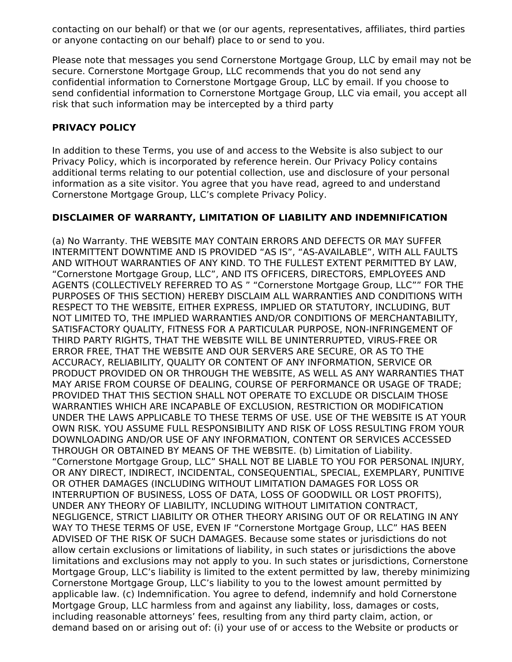contacting on our behalf) or that we (or our agents, representatives, affiliates, third parties or anyone contacting on our behalf) place to or send to you.

Please note that messages you send Cornerstone Mortgage Group, LLC by email may not be secure. Cornerstone Mortgage Group, LLC recommends that you do not send any confidential information to Cornerstone Mortgage Group, LLC by email. If you choose to send confidential information to Cornerstone Mortgage Group, LLC via email, you accept all risk that such information may be intercepted by a third party

### **PRIVACY POLICY**

In addition to these Terms, you use of and access to the Website is also subject to our Privacy Policy, which is incorporated by reference herein. Our Privacy Policy contains additional terms relating to our potential collection, use and disclosure of your personal information as a site visitor. You agree that you have read, agreed to and understand Cornerstone Mortgage Group, LLC's complete Privacy Policy.

### **DISCLAIMER OF WARRANTY, LIMITATION OF LIABILITY AND INDEMNIFICATION**

(a) No Warranty. THE WEBSITE MAY CONTAIN ERRORS AND DEFECTS OR MAY SUFFER INTERMITTENT DOWNTIME AND IS PROVIDED "AS IS", "AS-AVAILABLE", WITH ALL FAULTS AND WITHOUT WARRANTIES OF ANY KIND. TO THE FULLEST EXTENT PERMITTED BY LAW, "Cornerstone Mortgage Group, LLC", AND ITS OFFICERS, DIRECTORS, EMPLOYEES AND AGENTS (COLLECTIVELY REFERRED TO AS " "Cornerstone Mortgage Group, LLC"" FOR THE PURPOSES OF THIS SECTION) HEREBY DISCLAIM ALL WARRANTIES AND CONDITIONS WITH RESPECT TO THE WEBSITE, EITHER EXPRESS, IMPLIED OR STATUTORY, INCLUDING, BUT NOT LIMITED TO, THE IMPLIED WARRANTIES AND/OR CONDITIONS OF MERCHANTABILITY, SATISFACTORY QUALITY, FITNESS FOR A PARTICULAR PURPOSE, NON-INFRINGEMENT OF THIRD PARTY RIGHTS, THAT THE WEBSITE WILL BE UNINTERRUPTED, VIRUS-FREE OR ERROR FREE, THAT THE WEBSITE AND OUR SERVERS ARE SECURE, OR AS TO THE ACCURACY, RELIABILITY, QUALITY OR CONTENT OF ANY INFORMATION, SERVICE OR PRODUCT PROVIDED ON OR THROUGH THE WEBSITE, AS WELL AS ANY WARRANTIES THAT MAY ARISE FROM COURSE OF DEALING, COURSE OF PERFORMANCE OR USAGE OF TRADE; PROVIDED THAT THIS SECTION SHALL NOT OPERATE TO EXCLUDE OR DISCLAIM THOSE WARRANTIES WHICH ARE INCAPABLE OF EXCLUSION, RESTRICTION OR MODIFICATION UNDER THE LAWS APPLICABLE TO THESE TERMS OF USE. USE OF THE WEBSITE IS AT YOUR OWN RISK. YOU ASSUME FULL RESPONSIBILITY AND RISK OF LOSS RESULTING FROM YOUR DOWNLOADING AND/OR USE OF ANY INFORMATION, CONTENT OR SERVICES ACCESSED THROUGH OR OBTAINED BY MEANS OF THE WEBSITE. (b) Limitation of Liability. "Cornerstone Mortgage Group, LLC" SHALL NOT BE LIABLE TO YOU FOR PERSONAL INJURY, OR ANY DIRECT, INDIRECT, INCIDENTAL, CONSEQUENTIAL, SPECIAL, EXEMPLARY, PUNITIVE OR OTHER DAMAGES (INCLUDING WITHOUT LIMITATION DAMAGES FOR LOSS OR INTERRUPTION OF BUSINESS, LOSS OF DATA, LOSS OF GOODWILL OR LOST PROFITS), UNDER ANY THEORY OF LIABILITY, INCLUDING WITHOUT LIMITATION CONTRACT, NEGLIGENCE, STRICT LIABILITY OR OTHER THEORY ARISING OUT OF OR RELATING IN ANY WAY TO THESE TERMS OF USE, EVEN IF "Cornerstone Mortgage Group, LLC" HAS BEEN ADVISED OF THE RISK OF SUCH DAMAGES. Because some states or jurisdictions do not allow certain exclusions or limitations of liability, in such states or jurisdictions the above limitations and exclusions may not apply to you. In such states or jurisdictions, Cornerstone Mortgage Group, LLC's liability is limited to the extent permitted by law, thereby minimizing Cornerstone Mortgage Group, LLC's liability to you to the lowest amount permitted by applicable law. (c) Indemnification. You agree to defend, indemnify and hold Cornerstone Mortgage Group, LLC harmless from and against any liability, loss, damages or costs, including reasonable attorneys' fees, resulting from any third party claim, action, or demand based on or arising out of: (i) your use of or access to the Website or products or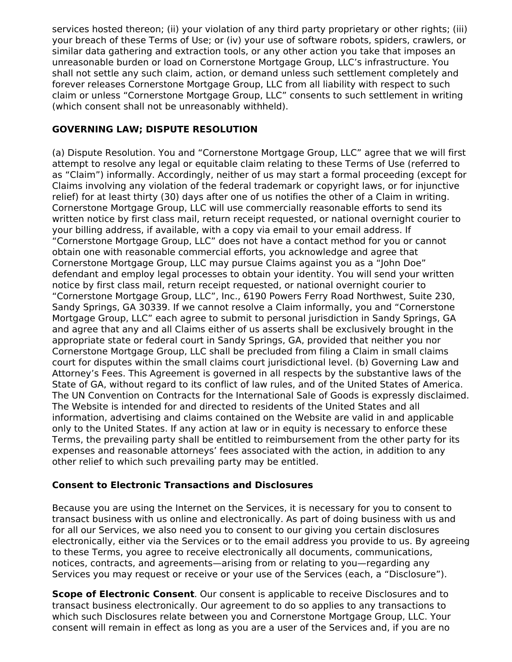services hosted thereon; (ii) your violation of any third party proprietary or other rights; (iii) your breach of these Terms of Use; or (iv) your use of software robots, spiders, crawlers, or similar data gathering and extraction tools, or any other action you take that imposes an unreasonable burden or load on Cornerstone Mortgage Group, LLC's infrastructure. You shall not settle any such claim, action, or demand unless such settlement completely and forever releases Cornerstone Mortgage Group, LLC from all liability with respect to such claim or unless "Cornerstone Mortgage Group, LLC" consents to such settlement in writing (which consent shall not be unreasonably withheld).

# **GOVERNING LAW; DISPUTE RESOLUTION**

(a) Dispute Resolution. You and "Cornerstone Mortgage Group, LLC" agree that we will first attempt to resolve any legal or equitable claim relating to these Terms of Use (referred to as "Claim") informally. Accordingly, neither of us may start a formal proceeding (except for Claims involving any violation of the federal trademark or copyright laws, or for injunctive relief) for at least thirty (30) days after one of us notifies the other of a Claim in writing. Cornerstone Mortgage Group, LLC will use commercially reasonable efforts to send its written notice by first class mail, return receipt requested, or national overnight courier to your billing address, if available, with a copy via email to your email address. If "Cornerstone Mortgage Group, LLC" does not have a contact method for you or cannot obtain one with reasonable commercial efforts, you acknowledge and agree that Cornerstone Mortgage Group, LLC may pursue Claims against you as a "John Doe" defendant and employ legal processes to obtain your identity. You will send your written notice by first class mail, return receipt requested, or national overnight courier to "Cornerstone Mortgage Group, LLC", Inc., 6190 Powers Ferry Road Northwest, Suite 230, Sandy Springs, GA 30339. If we cannot resolve a Claim informally, you and "Cornerstone Mortgage Group, LLC" each agree to submit to personal jurisdiction in Sandy Springs, GA and agree that any and all Claims either of us asserts shall be exclusively brought in the appropriate state or federal court in Sandy Springs, GA, provided that neither you nor Cornerstone Mortgage Group, LLC shall be precluded from filing a Claim in small claims court for disputes within the small claims court jurisdictional level. (b) Governing Law and Attorney's Fees. This Agreement is governed in all respects by the substantive laws of the State of GA, without regard to its conflict of law rules, and of the United States of America. The UN Convention on Contracts for the International Sale of Goods is expressly disclaimed. The Website is intended for and directed to residents of the United States and all information, advertising and claims contained on the Website are valid in and applicable only to the United States. If any action at law or in equity is necessary to enforce these Terms, the prevailing party shall be entitled to reimbursement from the other party for its expenses and reasonable attorneys' fees associated with the action, in addition to any other relief to which such prevailing party may be entitled.

# **Consent to Electronic Transactions and Disclosures**

Because you are using the Internet on the Services, it is necessary for you to consent to transact business with us online and electronically. As part of doing business with us and for all our Services, we also need you to consent to our giving you certain disclosures electronically, either via the Services or to the email address you provide to us. By agreeing to these Terms, you agree to receive electronically all documents, communications, notices, contracts, and agreements—arising from or relating to you—regarding any Services you may request or receive or your use of the Services (each, a "Disclosure").

**Scope of Electronic Consent**. Our consent is applicable to receive Disclosures and to transact business electronically. Our agreement to do so applies to any transactions to which such Disclosures relate between you and Cornerstone Mortgage Group, LLC. Your consent will remain in effect as long as you are a user of the Services and, if you are no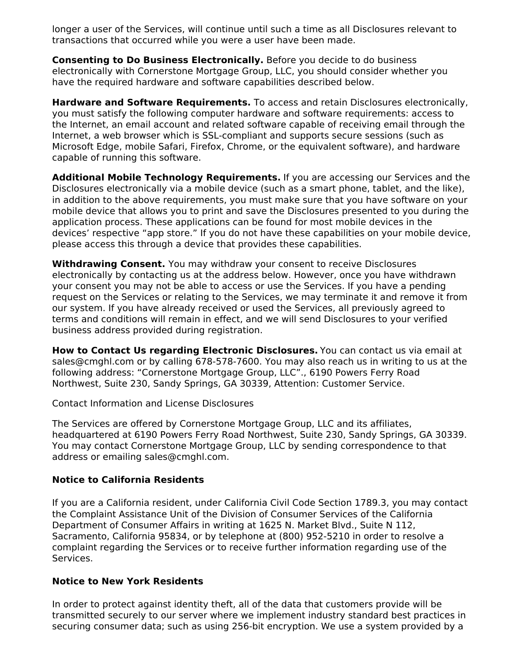longer a user of the Services, will continue until such a time as all Disclosures relevant to transactions that occurred while you were a user have been made.

**Consenting to Do Business Electronically.** Before you decide to do business electronically with Cornerstone Mortgage Group, LLC, you should consider whether you have the required hardware and software capabilities described below.

**Hardware and Software Requirements.** To access and retain Disclosures electronically, you must satisfy the following computer hardware and software requirements: access to the Internet, an email account and related software capable of receiving email through the Internet, a web browser which is SSL-compliant and supports secure sessions (such as Microsoft Edge, mobile Safari, Firefox, Chrome, or the equivalent software), and hardware capable of running this software.

**Additional Mobile Technology Requirements.** If you are accessing our Services and the Disclosures electronically via a mobile device (such as a smart phone, tablet, and the like), in addition to the above requirements, you must make sure that you have software on your mobile device that allows you to print and save the Disclosures presented to you during the application process. These applications can be found for most mobile devices in the devices' respective "app store." If you do not have these capabilities on your mobile device, please access this through a device that provides these capabilities.

**Withdrawing Consent.** You may withdraw your consent to receive Disclosures electronically by contacting us at the address below. However, once you have withdrawn your consent you may not be able to access or use the Services. If you have a pending request on the Services or relating to the Services, we may terminate it and remove it from our system. If you have already received or used the Services, all previously agreed to terms and conditions will remain in effect, and we will send Disclosures to your verified business address provided during registration.

**How to Contact Us regarding Electronic Disclosures.** You can contact us via email at sales@cmghl.com or by calling 678-578-7600. You may also reach us in writing to us at the following address: "Cornerstone Mortgage Group, LLC"., 6190 Powers Ferry Road Northwest, Suite 230, Sandy Springs, GA 30339, Attention: Customer Service.

Contact Information and License Disclosures

The Services are offered by Cornerstone Mortgage Group, LLC and its affiliates, headquartered at 6190 Powers Ferry Road Northwest, Suite 230, Sandy Springs, GA 30339. You may contact Cornerstone Mortgage Group, LLC by sending correspondence to that address or emailing sales@cmghl.com.

### **Notice to California Residents**

If you are a California resident, under California Civil Code Section 1789.3, you may contact the Complaint Assistance Unit of the Division of Consumer Services of the California Department of Consumer Affairs in writing at 1625 N. Market Blvd., Suite N 112, Sacramento, California 95834, or by telephone at (800) 952-5210 in order to resolve a complaint regarding the Services or to receive further information regarding use of the Services.

### **Notice to New York Residents**

In order to protect against identity theft, all of the data that customers provide will be transmitted securely to our server where we implement industry standard best practices in securing consumer data; such as using 256-bit encryption. We use a system provided by a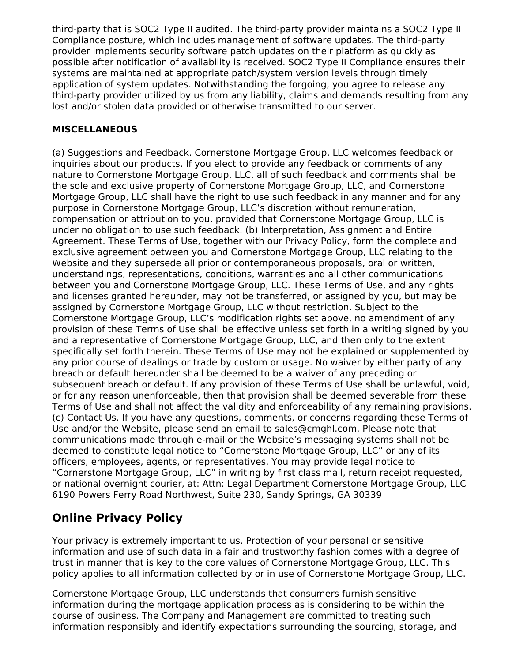third-party that is SOC2 Type II audited. The third-party provider maintains a SOC2 Type II Compliance posture, which includes management of software updates. The third-party provider implements security software patch updates on their platform as quickly as possible after notification of availability is received. SOC2 Type II Compliance ensures their systems are maintained at appropriate patch/system version levels through timely application of system updates. Notwithstanding the forgoing, you agree to release any third-party provider utilized by us from any liability, claims and demands resulting from any lost and/or stolen data provided or otherwise transmitted to our server.

# **MISCELLANEOUS**

(a) Suggestions and Feedback. Cornerstone Mortgage Group, LLC welcomes feedback or inquiries about our products. If you elect to provide any feedback or comments of any nature to Cornerstone Mortgage Group, LLC, all of such feedback and comments shall be the sole and exclusive property of Cornerstone Mortgage Group, LLC, and Cornerstone Mortgage Group, LLC shall have the right to use such feedback in any manner and for any purpose in Cornerstone Mortgage Group, LLC's discretion without remuneration, compensation or attribution to you, provided that Cornerstone Mortgage Group, LLC is under no obligation to use such feedback. (b) Interpretation, Assignment and Entire Agreement. These Terms of Use, together with our Privacy Policy, form the complete and exclusive agreement between you and Cornerstone Mortgage Group, LLC relating to the Website and they supersede all prior or contemporaneous proposals, oral or written, understandings, representations, conditions, warranties and all other communications between you and Cornerstone Mortgage Group, LLC. These Terms of Use, and any rights and licenses granted hereunder, may not be transferred, or assigned by you, but may be assigned by Cornerstone Mortgage Group, LLC without restriction. Subject to the Cornerstone Mortgage Group, LLC's modification rights set above, no amendment of any provision of these Terms of Use shall be effective unless set forth in a writing signed by you and a representative of Cornerstone Mortgage Group, LLC, and then only to the extent specifically set forth therein. These Terms of Use may not be explained or supplemented by any prior course of dealings or trade by custom or usage. No waiver by either party of any breach or default hereunder shall be deemed to be a waiver of any preceding or subsequent breach or default. If any provision of these Terms of Use shall be unlawful, void, or for any reason unenforceable, then that provision shall be deemed severable from these Terms of Use and shall not affect the validity and enforceability of any remaining provisions. (c) Contact Us. If you have any questions, comments, or concerns regarding these Terms of Use and/or the Website, please send an email to sales@cmghl.com. Please note that communications made through e-mail or the Website's messaging systems shall not be deemed to constitute legal notice to "Cornerstone Mortgage Group, LLC" or any of its officers, employees, agents, or representatives. You may provide legal notice to "Cornerstone Mortgage Group, LLC" in writing by first class mail, return receipt requested, or national overnight courier, at: Attn: Legal Department Cornerstone Mortgage Group, LLC 6190 Powers Ferry Road Northwest, Suite 230, Sandy Springs, GA 30339

# **Online Privacy Policy**

Your privacy is extremely important to us. Protection of your personal or sensitive information and use of such data in a fair and trustworthy fashion comes with a degree of trust in manner that is key to the core values of Cornerstone Mortgage Group, LLC. This policy applies to all information collected by or in use of Cornerstone Mortgage Group, LLC.

Cornerstone Mortgage Group, LLC understands that consumers furnish sensitive information during the mortgage application process as is considering to be within the course of business. The Company and Management are committed to treating such information responsibly and identify expectations surrounding the sourcing, storage, and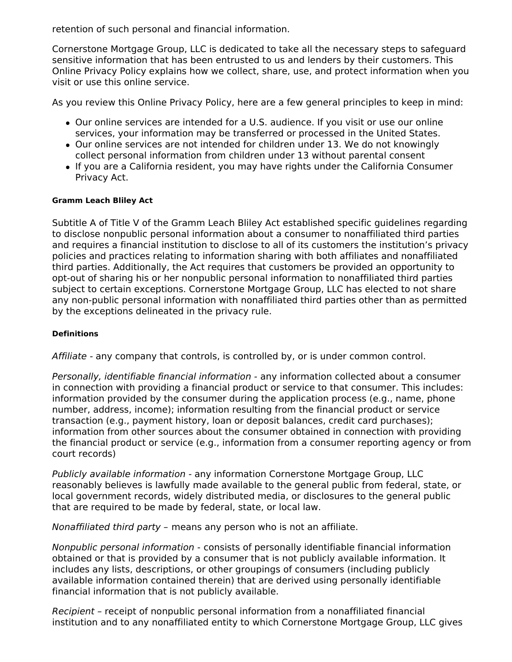retention of such personal and financial information.

Cornerstone Mortgage Group, LLC is dedicated to take all the necessary steps to safeguard sensitive information that has been entrusted to us and lenders by their customers. This Online Privacy Policy explains how we collect, share, use, and protect information when you visit or use this online service.

As you review this Online Privacy Policy, here are a few general principles to keep in mind:

- Our online services are intended for a U.S. audience. If you visit or use our online services, your information may be transferred or processed in the United States.
- Our online services are not intended for children under 13. We do not knowingly collect personal information from children under 13 without parental consent
- If you are a California resident, you may have rights under the California Consumer Privacy Act.

### **Gramm Leach Bliley Act**

Subtitle A of Title V of the Gramm Leach Bliley Act established specific guidelines regarding to disclose nonpublic personal information about a consumer to nonaffiliated third parties and requires a financial institution to disclose to all of its customers the institution's privacy policies and practices relating to information sharing with both affiliates and nonaffiliated third parties. Additionally, the Act requires that customers be provided an opportunity to opt-out of sharing his or her nonpublic personal information to nonaffiliated third parties subject to certain exceptions. Cornerstone Mortgage Group, LLC has elected to not share any non-public personal information with nonaffiliated third parties other than as permitted by the exceptions delineated in the privacy rule.

### **Definitions**

Affiliate - any company that controls, is controlled by, or is under common control.

Personally, identifiable financial information - any information collected about a consumer in connection with providing a financial product or service to that consumer. This includes: information provided by the consumer during the application process (e.g., name, phone number, address, income); information resulting from the financial product or service transaction (e.g., payment history, loan or deposit balances, credit card purchases); information from other sources about the consumer obtained in connection with providing the financial product or service (e.g., information from a consumer reporting agency or from court records)

Publicly available information - any information Cornerstone Mortgage Group, LLC reasonably believes is lawfully made available to the general public from federal, state, or local government records, widely distributed media, or disclosures to the general public that are required to be made by federal, state, or local law.

Nonaffiliated third party – means any person who is not an affiliate.

Nonpublic personal information - consists of personally identifiable financial information obtained or that is provided by a consumer that is not publicly available information. It includes any lists, descriptions, or other groupings of consumers (including publicly available information contained therein) that are derived using personally identifiable financial information that is not publicly available.

Recipient – receipt of nonpublic personal information from a nonaffiliated financial institution and to any nonaffiliated entity to which Cornerstone Mortgage Group, LLC gives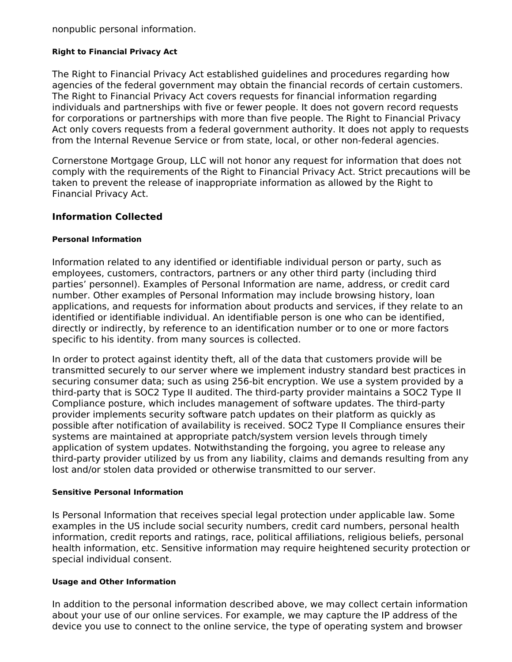nonpublic personal information.

### **Right to Financial Privacy Act**

The Right to Financial Privacy Act established guidelines and procedures regarding how agencies of the federal government may obtain the financial records of certain customers. The Right to Financial Privacy Act covers requests for financial information regarding individuals and partnerships with five or fewer people. It does not govern record requests for corporations or partnerships with more than five people. The Right to Financial Privacy Act only covers requests from a federal government authority. It does not apply to requests from the Internal Revenue Service or from state, local, or other non-federal agencies.

Cornerstone Mortgage Group, LLC will not honor any request for information that does not comply with the requirements of the Right to Financial Privacy Act. Strict precautions will be taken to prevent the release of inappropriate information as allowed by the Right to Financial Privacy Act.

### **Information Collected**

### **Personal Information**

Information related to any identified or identifiable individual person or party, such as employees, customers, contractors, partners or any other third party (including third parties' personnel). Examples of Personal Information are name, address, or credit card number. Other examples of Personal Information may include browsing history, loan applications, and requests for information about products and services, if they relate to an identified or identifiable individual. An identifiable person is one who can be identified, directly or indirectly, by reference to an identification number or to one or more factors specific to his identity. from many sources is collected.

In order to protect against identity theft, all of the data that customers provide will be transmitted securely to our server where we implement industry standard best practices in securing consumer data; such as using 256-bit encryption. We use a system provided by a third-party that is SOC2 Type II audited. The third-party provider maintains a SOC2 Type II Compliance posture, which includes management of software updates. The third-party provider implements security software patch updates on their platform as quickly as possible after notification of availability is received. SOC2 Type II Compliance ensures their systems are maintained at appropriate patch/system version levels through timely application of system updates. Notwithstanding the forgoing, you agree to release any third-party provider utilized by us from any liability, claims and demands resulting from any lost and/or stolen data provided or otherwise transmitted to our server.

#### **Sensitive Personal Information**

Is Personal Information that receives special legal protection under applicable law. Some examples in the US include social security numbers, credit card numbers, personal health information, credit reports and ratings, race, political affiliations, religious beliefs, personal health information, etc. Sensitive information may require heightened security protection or special individual consent.

#### **Usage and Other Information**

In addition to the personal information described above, we may collect certain information about your use of our online services. For example, we may capture the IP address of the device you use to connect to the online service, the type of operating system and browser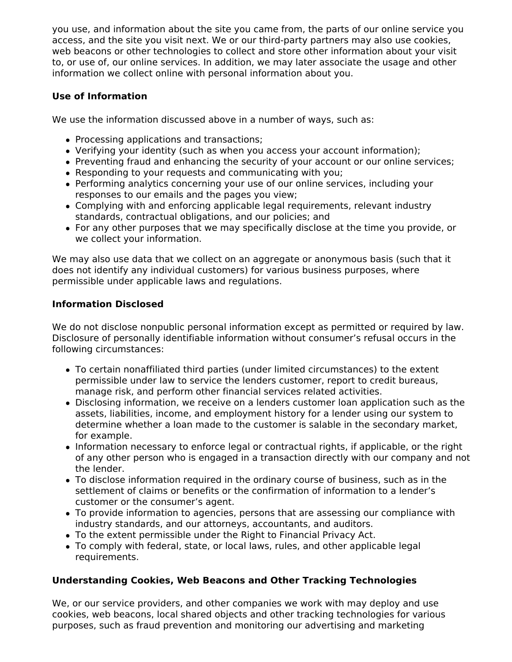you use, and information about the site you came from, the parts of our online service you access, and the site you visit next. We or our third-party partners may also use cookies, web beacons or other technologies to collect and store other information about your visit to, or use of, our online services. In addition, we may later associate the usage and other information we collect online with personal information about you.

# **Use of Information**

We use the information discussed above in a number of ways, such as:

- Processing applications and transactions;
- Verifying your identity (such as when you access your account information);
- Preventing fraud and enhancing the security of your account or our online services;
- Responding to your requests and communicating with you;
- Performing analytics concerning your use of our online services, including your responses to our emails and the pages you view;
- Complying with and enforcing applicable legal requirements, relevant industry standards, contractual obligations, and our policies; and
- For any other purposes that we may specifically disclose at the time you provide, or we collect your information.

We may also use data that we collect on an aggregate or anonymous basis (such that it does not identify any individual customers) for various business purposes, where permissible under applicable laws and regulations.

# **Information Disclosed**

We do not disclose nonpublic personal information except as permitted or required by law. Disclosure of personally identifiable information without consumer's refusal occurs in the following circumstances:

- To certain nonaffiliated third parties (under limited circumstances) to the extent permissible under law to service the lenders customer, report to credit bureaus, manage risk, and perform other financial services related activities.
- Disclosing information, we receive on a lenders customer loan application such as the assets, liabilities, income, and employment history for a lender using our system to determine whether a loan made to the customer is salable in the secondary market, for example.
- Information necessary to enforce legal or contractual rights, if applicable, or the right of any other person who is engaged in a transaction directly with our company and not the lender.
- To disclose information required in the ordinary course of business, such as in the settlement of claims or benefits or the confirmation of information to a lender's customer or the consumer's agent.
- To provide information to agencies, persons that are assessing our compliance with industry standards, and our attorneys, accountants, and auditors.
- To the extent permissible under the Right to Financial Privacy Act.
- To comply with federal, state, or local laws, rules, and other applicable legal requirements.

# **Understanding Cookies, Web Beacons and Other Tracking Technologies**

We, or our service providers, and other companies we work with may deploy and use cookies, web beacons, local shared objects and other tracking technologies for various purposes, such as fraud prevention and monitoring our advertising and marketing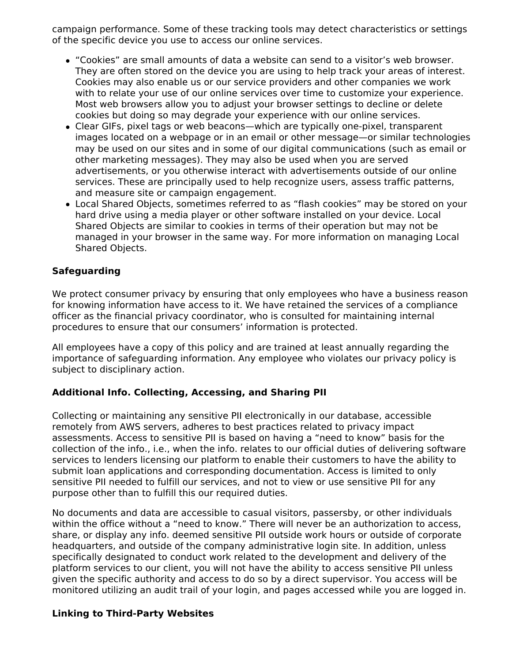campaign performance. Some of these tracking tools may detect characteristics or settings of the specific device you use to access our online services.

- "Cookies" are small amounts of data a website can send to a visitor's web browser. They are often stored on the device you are using to help track your areas of interest. Cookies may also enable us or our service providers and other companies we work with to relate your use of our online services over time to customize your experience. Most web browsers allow you to adjust your browser settings to decline or delete cookies but doing so may degrade your experience with our online services.
- Clear GIFs, pixel tags or web beacons—which are typically one-pixel, transparent images located on a webpage or in an email or other message—or similar technologies may be used on our sites and in some of our digital communications (such as email or other marketing messages). They may also be used when you are served advertisements, or you otherwise interact with advertisements outside of our online services. These are principally used to help recognize users, assess traffic patterns, and measure site or campaign engagement.
- Local Shared Objects, sometimes referred to as "flash cookies" may be stored on your hard drive using a media player or other software installed on your device. Local Shared Objects are similar to cookies in terms of their operation but may not be managed in your browser in the same way. For more information on managing Local Shared Objects.

# **Safeguarding**

We protect consumer privacy by ensuring that only employees who have a business reason for knowing information have access to it. We have retained the services of a compliance officer as the financial privacy coordinator, who is consulted for maintaining internal procedures to ensure that our consumers' information is protected.

All employees have a copy of this policy and are trained at least annually regarding the importance of safeguarding information. Any employee who violates our privacy policy is subject to disciplinary action.

# **Additional Info. Collecting, Accessing, and Sharing PII**

Collecting or maintaining any sensitive PII electronically in our database, accessible remotely from AWS servers, adheres to best practices related to privacy impact assessments. Access to sensitive PII is based on having a "need to know" basis for the collection of the info., i.e., when the info. relates to our official duties of delivering software services to lenders licensing our platform to enable their customers to have the ability to submit loan applications and corresponding documentation. Access is limited to only sensitive PII needed to fulfill our services, and not to view or use sensitive PII for any purpose other than to fulfill this our required duties.

No documents and data are accessible to casual visitors, passersby, or other individuals within the office without a "need to know." There will never be an authorization to access, share, or display any info. deemed sensitive PII outside work hours or outside of corporate headquarters, and outside of the company administrative login site. In addition, unless specifically designated to conduct work related to the development and delivery of the platform services to our client, you will not have the ability to access sensitive PII unless given the specific authority and access to do so by a direct supervisor. You access will be monitored utilizing an audit trail of your login, and pages accessed while you are logged in.

# **Linking to Third-Party Websites**